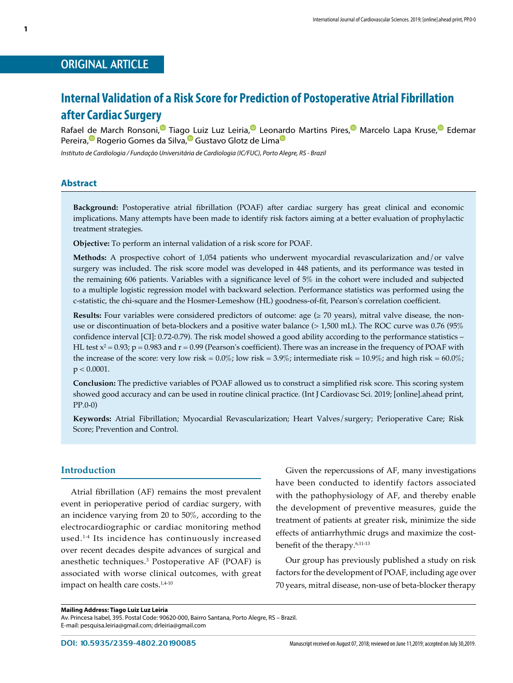## ORIGINAL ARTICLE

# **Internal Validation of a Risk Score for Prediction of Postoperative Atrial Fibrillation after Cardiac Surgery**

Rafael de March Ronsoni,<sup>®</sup> Tiago Luiz Luz Leiria,<sup>®</sup> Leo[nard](https://orcid.org/0000-0003-0097-5206)o Martins Pires,<sup>®</sup> Marcelo Lapa Kruse,<sup>®</sup> Edemar Pereira,<sup>®</sup> Rogerio Gomes da Silva,<sup>®</sup> Gustavo Glotz de Lima<sup>®</sup>

*Instituto de Cardiologia / Fundação Universitária de Cardiologia (IC/FUC), Porto Alegre, RS - Brazil*

## **Abstract**

**Background:** Postoperative atrial fibrillation (POAF) after cardiac surgery has great clinical and economic implications. Many attempts have been made to identify risk factors aiming at a better evaluation of prophylactic treatment strategies.

**Objective:** To perform an internal validation of a risk score for POAF.

**Methods:** A prospective cohort of 1,054 patients who underwent myocardial revascularization and/or valve surgery was included. The risk score model was developed in 448 patients, and its performance was tested in the remaining 606 patients. Variables with a significance level of 5% in the cohort were included and subjected to a multiple logistic regression model with backward selection. Performance statistics was performed using the c-statistic, the chi-square and the Hosmer-Lemeshow (HL) goodness-of-fit, Pearson's correlation coefficient.

**Results:** Four variables were considered predictors of outcome: age  $(\geq 70 \text{ years})$ , mitral valve disease, the nonuse or discontinuation of beta-blockers and a positive water balance (> 1,500 mL). The ROC curve was 0.76 (95% confidence interval [CI]: 0.72-0.79). The risk model showed a good ability according to the performance statistics – HL test  $x^2$  = 0.93; p = 0.983 and r = 0.99 (Pearson's coefficient). There was an increase in the frequency of POAF with the increase of the score: very low risk =  $0.0\%$ ; low risk =  $3.9\%$ ; intermediate risk =  $10.9\%$ ; and high risk =  $60.0\%$ ;  $p < 0.0001$ .

**Conclusion:** The predictive variables of POAF allowed us to construct a simplified risk score. This scoring system showed good accuracy and can be used in routine clinical practice. (Int J Cardiovasc Sci. 2019; [online].ahead print, PP.0-0)

**Keywords:** Atrial Fibrillation; Myocardial Revascularization; Heart Valves/surgery; Perioperative Care; Risk Score; Prevention and Control.

## **Introduction**

Atrial fibrillation (AF) remains the most prevalent event in perioperative period of cardiac surgery, with an incidence varying from 20 to 50%, according to the electrocardiographic or cardiac monitoring method used.1-4 Its incidence has continuously increased over recent decades despite advances of surgical and anesthetic techniques.<sup>3</sup> Postoperative AF (POAF) is associated with worse clinical outcomes, with great impact on health care costs.<sup>1,4-10</sup>

Given the repercussions of AF, many investigations have been conducted to identify factors associated with the pathophysiology of AF, and thereby enable the development of preventive measures, guide the treatment of patients at greater risk, minimize the side effects of antiarrhythmic drugs and maximize the costbenefit of the therapy.6,11-13

Our group has previously published a study on risk factors for the development of POAF, including age over 70 years, mitral disease, non-use of beta-blocker therapy

Av. Princesa Isabel, 395. Postal Code: 90620-000, Bairro Santana, Porto Alegre, RS – Brazil. E-mail: pesquisa.leiria@gmail.com; drleiria@gmail.com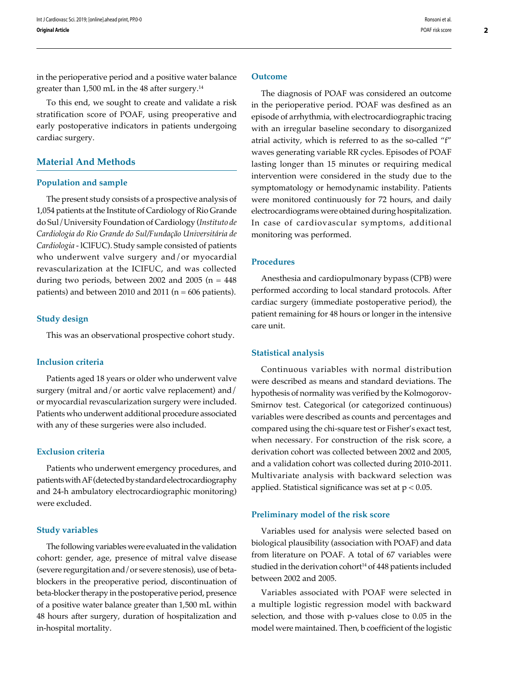in the perioperative period and a positive water balance greater than 1,500 mL in the 48 after surgery.<sup>14</sup>

To this end, we sought to create and validate a risk stratification score of POAF, using preoperative and early postoperative indicators in patients undergoing cardiac surgery.

## **Material And Methods**

#### **Population and sample**

The present study consists of a prospective analysis of 1,054 patients at the Institute of Cardiology of Rio Grande do Sul/University Foundation of Cardiology (*Instituto de Cardiologia do Rio Grande do Sul/Fundação Universitária de Cardiologia* - lClFUC). Study sample consisted of patients who underwent valve surgery and/or myocardial revascularization at the ICIFUC, and was collected during two periods, between 2002 and 2005 ( $n = 448$ ) patients) and between 2010 and 2011 ( $n = 606$  patients).

## **Study design**

This was an observational prospective cohort study.

## **Inclusion criteria**

Patients aged 18 years or older who underwent valve surgery (mitral and/or aortic valve replacement) and/ or myocardial revascularization surgery were included. Patients who underwent additional procedure associated with any of these surgeries were also included.

## **Exclusion criteria**

Patients who underwent emergency procedures, and patients with AF (detected by standard electrocardiography and 24-h ambulatory electrocardiographic monitoring) were excluded.

#### **Study variables**

The following variables were evaluated in the validation cohort: gender, age, presence of mitral valve disease (severe regurgitation and/or severe stenosis), use of betablockers in the preoperative period, discontinuation of beta-blocker therapy in the postoperative period, presence of a positive water balance greater than 1,500 mL within 48 hours after surgery, duration of hospitalization and in-hospital mortality.

The diagnosis of POAF was considered an outcome in the perioperative period. POAF was desfined as an episode of arrhythmia, with electrocardiographic tracing with an irregular baseline secondary to disorganized atrial activity, which is referred to as the so-called "f" waves generating variable RR cycles. Episodes of POAF lasting longer than 15 minutes or requiring medical intervention were considered in the study due to the symptomatology or hemodynamic instability. Patients were monitored continuously for 72 hours, and daily electrocardiograms were obtained during hospitalization. In case of cardiovascular symptoms, additional monitoring was performed.

## **Procedures**

Anesthesia and cardiopulmonary bypass (CPB) were performed according to local standard protocols. After cardiac surgery (immediate postoperative period), the patient remaining for 48 hours or longer in the intensive care unit.

## **Statistical analysis**

Continuous variables with normal distribution were described as means and standard deviations. The hypothesis of normality was verified by the Kolmogorov-Smirnov test. Categorical (or categorized continuous) variables were described as counts and percentages and compared using the chi-square test or Fisher's exact test, when necessary. For construction of the risk score, a derivation cohort was collected between 2002 and 2005, and a validation cohort was collected during 2010-2011. Multivariate analysis with backward selection was applied. Statistical significance was set at  $p < 0.05$ .

#### **Preliminary model of the risk score**

Variables used for analysis were selected based on biological plausibility (association with POAF) and data from literature on POAF. A total of 67 variables were studied in the derivation cohort<sup>14</sup> of 448 patients included between 2002 and 2005.

Variables associated with POAF were selected in a multiple logistic regression model with backward selection, and those with p-values close to 0.05 in the model were maintained. Then, b coefficient of the logistic

Ronsoni et al. POAF risk score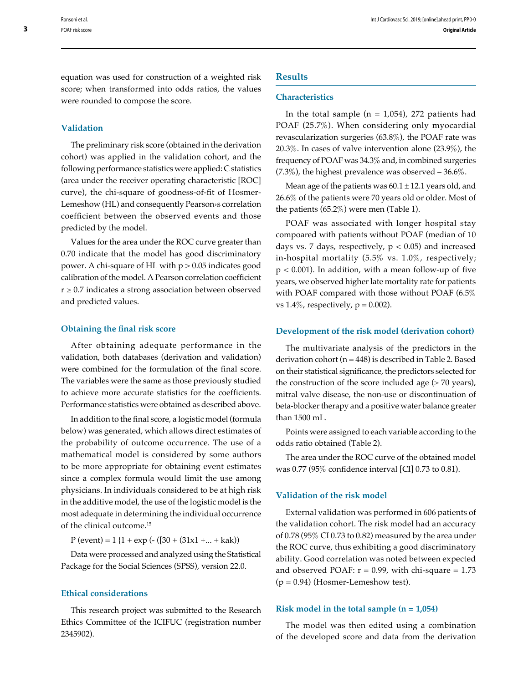equation was used for construction of a weighted risk score; when transformed into odds ratios, the values were rounded to compose the score.

#### **Validation**

The preliminary risk score (obtained in the derivation cohort) was applied in the validation cohort, and the following performance statistics were applied: C statistics (area under the receiver operating characteristic [ROC] curve), the chi-square of goodness-of-fit of Hosmer-Lemeshow (HL) and consequently Pearson›s correlation coefficient between the observed events and those predicted by the model.

Values for the area under the ROC curve greater than 0.70 indicate that the model has good discriminatory power. A chi-square of HL with  $p > 0.05$  indicates good calibration of the model. A Pearson correlation coefficient  $r \geq 0.7$  indicates a strong association between observed and predicted values.

## **Obtaining the final risk score**

After obtaining adequate performance in the validation, both databases (derivation and validation) were combined for the formulation of the final score. The variables were the same as those previously studied to achieve more accurate statistics for the coefficients. Performance statistics were obtained as described above.

In addition to the final score, a logistic model (formula below) was generated, which allows direct estimates of the probability of outcome occurrence. The use of a mathematical model is considered by some authors to be more appropriate for obtaining event estimates since a complex formula would limit the use among physicians. In individuals considered to be at high risk in the additive model, the use of the logistic model is the most adequate in determining the individual occurrence of the clinical outcome.15

 $P$  (event) = 1 {1 + exp (- ([30 + (31x1 +... + kak))

Data were processed and analyzed using the Statistical Package for the Social Sciences (SPSS), version 22.0.

#### **Ethical considerations**

This research project was submitted to the Research Ethics Committee of the ICIFUC (registration number 2345902).

#### **Results**

## **Characteristics**

In the total sample ( $n = 1,054$ ), 272 patients had POAF (25.7%). When considering only myocardial revascularization surgeries (63.8%), the POAF rate was 20.3%. In cases of valve intervention alone (23.9%), the frequency of POAF was 34.3% and, in combined surgeries  $(7.3\%)$ , the highest prevalence was observed  $-36.6\%$ .

Mean age of the patients was  $60.1 \pm 12.1$  years old, and 26.6% of the patients were 70 years old or older. Most of the patients (65.2%) were men (Table 1).

POAF was associated with longer hospital stay compoared with patients without POAF (median of 10 days vs. 7 days, respectively,  $p < 0.05$ ) and increased in-hospital mortality (5.5% vs. 1.0%, respectively;  $p < 0.001$ ). In addition, with a mean follow-up of five years, we observed higher late mortality rate for patients with POAF compared with those without POAF (6.5% vs  $1.4\%$ , respectively,  $p = 0.002$ ).

#### **Development of the risk model (derivation cohort)**

The multivariate analysis of the predictors in the derivation cohort ( $n = 448$ ) is described in Table 2. Based on their statistical significance, the predictors selected for the construction of the score included age  $(\geq 70 \text{ years})$ , mitral valve disease, the non-use or discontinuation of beta-blocker therapy and a positive water balance greater than 1500 mL.

Points were assigned to each variable according to the odds ratio obtained (Table 2).

The area under the ROC curve of the obtained model was 0.77 (95% confidence interval [CI] 0.73 to 0.81).

## **Validation of the risk model**

External validation was performed in 606 patients of the validation cohort. The risk model had an accuracy of 0.78 (95% CI 0.73 to 0.82) measured by the area under the ROC curve, thus exhibiting a good discriminatory ability. Good correlation was noted between expected and observed POAF:  $r = 0.99$ , with chi-square = 1.73  $(p = 0.94)$  (Hosmer-Lemeshow test).

## **Risk model in the total sample (n = 1,054)**

The model was then edited using a combination of the developed score and data from the derivation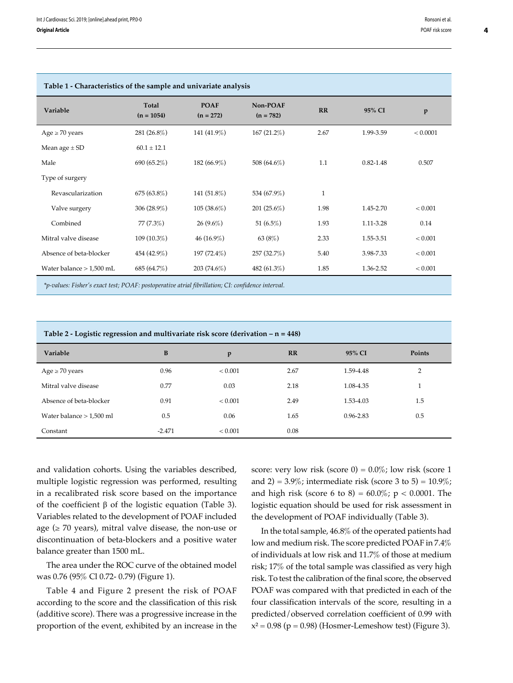| Table 1 - Characteristics of the sample and univariate analysis                                           |                       |                            |                         |              |               |              |
|-----------------------------------------------------------------------------------------------------------|-----------------------|----------------------------|-------------------------|--------------|---------------|--------------|
| Variable                                                                                                  | Total<br>$(n = 1054)$ | <b>POAF</b><br>$(n = 272)$ | Non-POAF<br>$(n = 782)$ | RR           | 95% CI        | $\mathbf{p}$ |
| $Age \ge 70 years$                                                                                        | 281 $(26.8\%)$        | 141 $(41.9\%)$             | 167(21.2%)              | 2.67         | 1.99-3.59     | < 0.0001     |
| Mean age $\pm$ SD                                                                                         | $60.1 \pm 12.1$       |                            |                         |              |               |              |
| Male                                                                                                      | 690 (65.2%)           | $182(66.9\%)$              | 508 (64.6%)             | 1.1          | $0.82 - 1.48$ | 0.507        |
| Type of surgery                                                                                           |                       |                            |                         |              |               |              |
| Revascularization                                                                                         | $675(63.8\%)$         | 141 $(51.8\%)$             | 534 (67.9%)             | $\mathbf{1}$ |               |              |
| Valve surgery                                                                                             | 306 $(28.9\%)$        | $105(38.6\%)$              | $201(25.6\%)$           | 1.98         | 1.45-2.70     | < 0.001      |
| Combined                                                                                                  | $77(7.3\%)$           | $26(9.6\%)$                | 51 $(6.5\%)$            | 1.93         | 1.11-3.28     | 0.14         |
| Mitral valve disease                                                                                      | 109 (10.3%)           | $46(16.9\%)$               | 63 $(8%)$               | 2.33         | 1.55-3.51     | < 0.001      |
| Absence of beta-blocker                                                                                   | 454 (42.9%)           | 197 (72.4%)                | 257 (32.7%)             | 5.40         | 3.98-7.33     | < 0.001      |
| Water balance $> 1,500$ mL                                                                                | 685 (64.7%)           | $203(74.6\%)$              | 482 $(61.3\%)$          | 1.85         | 1.36-2.52     | < 0.001      |
| $*$ n-values: Fisher's exact test: $P\cap AF$ nostoperative atrial fibrillation: $CF$ confidence interval |                       |                            |                         |              |               |              |

*\*p-values: Fisher's exact test; POAF: postoperative atrial fibrillation; CI: confidence interval.*

| Table 2 - Logistic regression and multivariate risk score (derivation $-$ n = 448) |          |         |           |               |        |  |
|------------------------------------------------------------------------------------|----------|---------|-----------|---------------|--------|--|
| Variable                                                                           | B        | p       | <b>RR</b> | 95% CI        | Points |  |
| $Age \ge 70 \text{ years}$                                                         | 0.96     | < 0.001 | 2.67      | 1.59-4.48     | 2      |  |
| Mitral valve disease                                                               | 0.77     | 0.03    | 2.18      | 1.08-4.35     |        |  |
| Absence of beta-blocker                                                            | 0.91     | < 0.001 | 2.49      | 1.53-4.03     | 1.5    |  |
| Water balance $> 1,500$ ml                                                         | 0.5      | 0.06    | 1.65      | $0.96 - 2.83$ | 0.5    |  |
| Constant                                                                           | $-2.471$ | < 0.001 | 0.08      |               |        |  |

and validation cohorts. Using the variables described, multiple logistic regression was performed, resulting in a recalibrated risk score based on the importance of the coefficient β of the logistic equation (Table 3). Variables related to the development of POAF included age ( $\geq$  70 years), mitral valve disease, the non-use or discontinuation of beta-blockers and a positive water balance greater than 1500 mL.

The area under the ROC curve of the obtained model was 0.76 (95% Cl 0.72- 0.79) (Figure 1).

Table 4 and Figure 2 present the risk of POAF according to the score and the classification of this risk (additive score). There was a progressive increase in the proportion of the event, exhibited by an increase in the score: very low risk (score  $0$ ) =  $0.0\%$ ; low risk (score 1 and 2) =  $3.9\%$ ; intermediate risk (score 3 to 5) =  $10.9\%$ ; and high risk (score 6 to 8) =  $60.0\%$ ; p < 0.0001. The logistic equation should be used for risk assessment in the development of POAF individually (Table 3).

In the total sample, 46.8% of the operated patients had low and medium risk. The score predicted POAF in 7.4% of individuals at low risk and 11.7% of those at medium risk; 17% of the total sample was classified as very high risk. To test the calibration of the final score, the observed POAF was compared with that predicted in each of the four classification intervals of the score, resulting in a predicted/observed correlation coefficient of 0.99 with  $x^2 = 0.98$  (p = 0.98) (Hosmer-Lemeshow test) (Figure 3).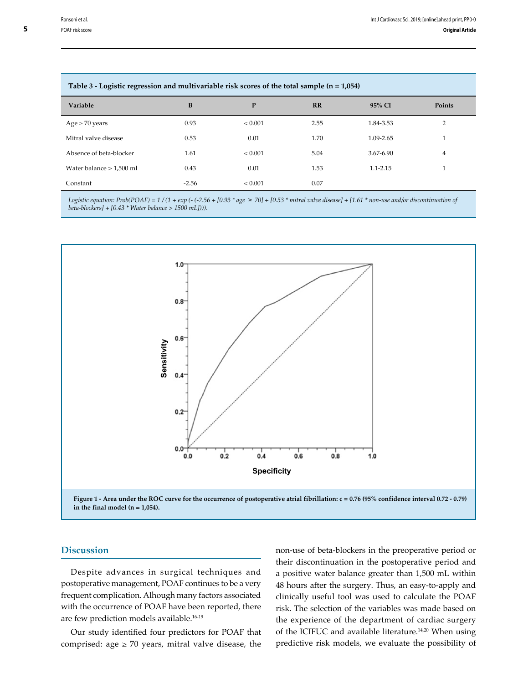| Table 3 - Logistic regression and multivariable risk scores of the total sample (n = 1,054) |         |             |      |              |                |  |
|---------------------------------------------------------------------------------------------|---------|-------------|------|--------------|----------------|--|
| Variable                                                                                    | B       | P           | RR   | 95% CI       | Points         |  |
| Age $\geq$ 70 years                                                                         | 0.93    | ${}< 0.001$ | 2.55 | 1.84-3.53    | 2              |  |
| Mitral valve disease                                                                        | 0.53    | 0.01        | 1.70 | 1.09-2.65    |                |  |
| Absence of beta-blocker                                                                     | 1.61    | < 0.001     | 5.04 | 3.67-6.90    | $\overline{4}$ |  |
| Water balance $> 1,500$ ml                                                                  | 0.43    | 0.01        | 1.53 | $1.1 - 2.15$ |                |  |
| Constant                                                                                    | $-2.56$ | < 0.001     | 0.07 |              |                |  |

#### **Table 3 - Logistic regression and multivariable risk scores of the total sample (n = 1,054)**

*Logistic equation: Prob(POAF)* =  $1/(1 + \exp(-(2.56 + [0.93 * age \ge 70] + [0.53 * initial value disease] + [1.61 * non-use and/or discontinuation of$ *beta-blockers] + [0.43 \* Water balance > 1500 mL]))).*



**Figure 1 - Area under the ROC curve for the occurrence of postoperative atrial fibrillation: c = 0.76 (95% confidence interval 0.72 - 0.79) in the final model (n = 1,054).**

## **Discussion**

Despite advances in surgical techniques and postoperative management, POAF continues to be a very frequent complication. Alhough many factors associated with the occurrence of POAF have been reported, there are few prediction models available.16-19

Our study identified four predictors for POAF that comprised: age  $\geq$  70 years, mitral valve disease, the non-use of beta-blockers in the preoperative period or their discontinuation in the postoperative period and a positive water balance greater than 1,500 mL within 48 hours after the surgery. Thus, an easy-to-apply and clinically useful tool was used to calculate the POAF risk. The selection of the variables was made based on the experience of the department of cardiac surgery of the ICIFUC and available literature.<sup>14,20</sup> When using predictive risk models, we evaluate the possibility of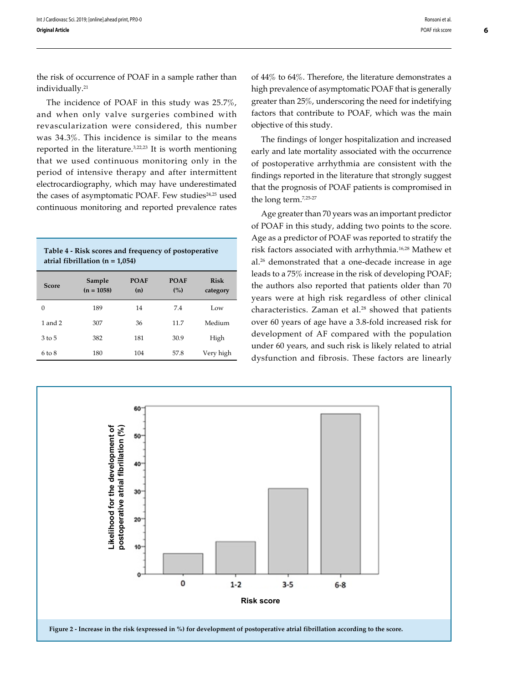the risk of occurrence of POAF in a sample rather than individually.<sup>21</sup>

The incidence of POAF in this study was 25.7%, and when only valve surgeries combined with revascularization were considered, this number was 34.3%. This incidence is similar to the means reported in the literature.3,22,23 It is worth mentioning that we used continuous monitoring only in the period of intensive therapy and after intermittent electrocardiography, which may have underestimated the cases of asymptomatic POAF. Few studies<sup>24,25</sup> used continuous monitoring and reported prevalence rates

| Table 4 - Risk scores and frequency of postoperative<br>atrial fibrillation ( $n = 1,054$ ) |                        |                    |                    |                         |  |
|---------------------------------------------------------------------------------------------|------------------------|--------------------|--------------------|-------------------------|--|
| <b>Score</b>                                                                                | Sample<br>$(n = 1058)$ | <b>POAF</b><br>(n) | <b>POAF</b><br>(%) | <b>Risk</b><br>category |  |
| 0                                                                                           | 189                    | 14                 | 7.4                | Low                     |  |
| $1$ and $2$                                                                                 | 307                    | 36                 | 11.7               | Medium                  |  |
| 3 to 5                                                                                      | 382                    | 181                | 30.9               | High                    |  |

6 to 8 180 104 57.8 Very high

of 44% to 64%. Therefore, the literature demonstrates a high prevalence of asymptomatic POAF that is generally greater than 25%, underscoring the need for indetifying factors that contribute to POAF, which was the main objective of this study.

The findings of longer hospitalization and increased early and late mortality associated with the occurrence of postoperative arrhythmia are consistent with the findings reported in the literature that strongly suggest that the prognosis of POAF patients is compromised in the long term.7,25-27

Age greater than 70 years was an important predictor of POAF in this study, adding two points to the score. Age as a predictor of POAF was reported to stratify the risk factors associated with arrhythmia.16,28 Mathew et al.26 demonstrated that a one-decade increase in age leads to a 75% increase in the risk of developing POAF; the authors also reported that patients older than 70 years were at high risk regardless of other clinical characteristics. Zaman et al.<sup>28</sup> showed that patients over 60 years of age have a 3.8-fold increased risk for development of AF compared with the population under 60 years, and such risk is likely related to atrial dysfunction and fibrosis. These factors are linearly



**6**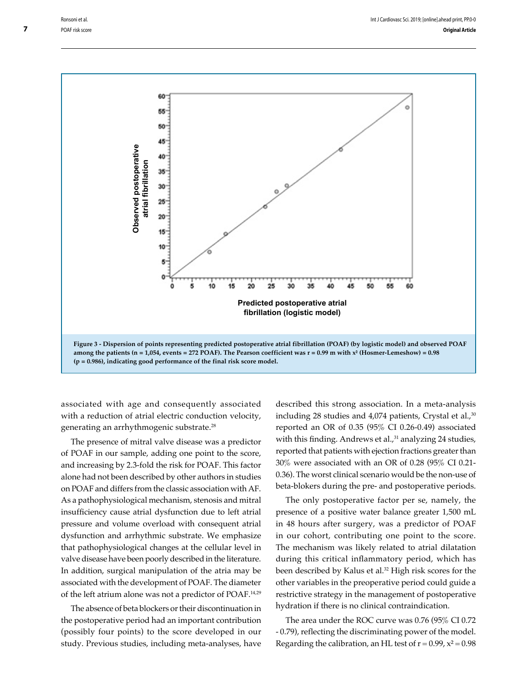

associated with age and consequently associated with a reduction of atrial electric conduction velocity, generating an arrhythmogenic substrate.28

The presence of mitral valve disease was a predictor of POAF in our sample, adding one point to the score, and increasing by 2.3-fold the risk for POAF. This factor alone had not been described by other authors in studies on POAF and differs from the classic association with AF. As a pathophysiological mechanism, stenosis and mitral insufficiency cause atrial dysfunction due to left atrial pressure and volume overload with consequent atrial dysfunction and arrhythmic substrate. We emphasize that pathophysiological changes at the cellular level in valve disease have been poorly described in the literature. In addition, surgical manipulation of the atria may be associated with the development of POAF. The diameter of the left atrium alone was not a predictor of POAF.14,29

The absence of beta blockers or their discontinuation in the postoperative period had an important contribution (possibly four points) to the score developed in our study. Previous studies, including meta-analyses, have described this strong association. In a meta-analysis including 28 studies and  $4,074$  patients, Crystal et al., $30$ reported an OR of 0.35 (95% CI 0.26-0.49) associated with this finding. Andrews et al.,<sup>31</sup> analyzing 24 studies, reported that patients with ejection fractions greater than 30% were associated with an OR of 0.28 (95% CI 0.21- 0.36). The worst clinical scenario would be the non-use of beta-blokers during the pre- and postoperative periods.

The only postoperative factor per se, namely, the presence of a positive water balance greater 1,500 mL in 48 hours after surgery, was a predictor of POAF in our cohort, contributing one point to the score. The mechanism was likely related to atrial dilatation during this critical inflammatory period, which has been described by Kalus et al.<sup>32</sup> High risk scores for the other variables in the preoperative period could guide a restrictive strategy in the management of postoperative hydration if there is no clinical contraindication.

The area under the ROC curve was 0.76 (95% CI 0.72 - 0.79), reflecting the discriminating power of the model. Regarding the calibration, an HL test of  $r = 0.99$ ,  $x^2 = 0.98$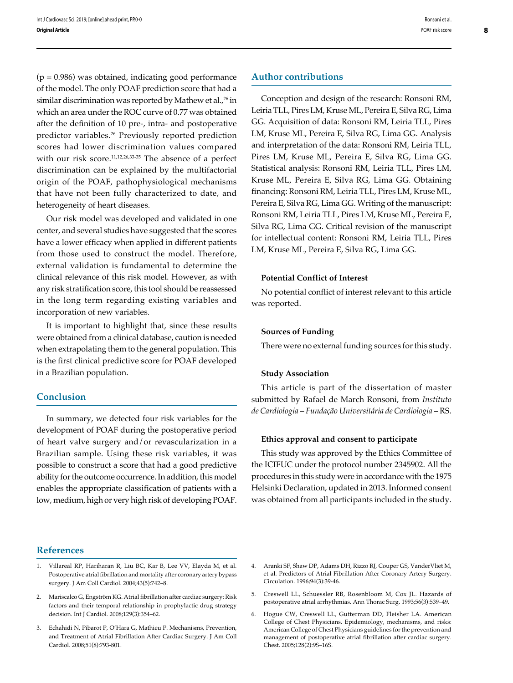$(p = 0.986)$  was obtained, indicating good performance of the model. The only POAF prediction score that had a similar discrimination was reported by Mathew et al.,<sup>26</sup> in which an area under the ROC curve of 0.77 was obtained after the definition of 10 pre-, intra- and postoperative predictor variables.26 Previously reported prediction scores had lower discrimination values compared with our risk score.<sup>11,12,26,33-35</sup> The absence of a perfect discrimination can be explained by the multifactorial origin of the POAF, pathophysiological mechanisms that have not been fully characterized to date, and heterogeneity of heart diseases.

Our risk model was developed and validated in one center, and several studies have suggested that the scores have a lower efficacy when applied in different patients from those used to construct the model. Therefore, external validation is fundamental to determine the clinical relevance of this risk model. However, as with any risk stratification score, this tool should be reassessed in the long term regarding existing variables and incorporation of new variables.

It is important to highlight that, since these results were obtained from a clinical database, caution is needed when extrapolating them to the general population. This is the first clinical predictive score for POAF developed in a Brazilian population.

## **Conclusion**

In summary, we detected four risk variables for the development of POAF during the postoperative period of heart valve surgery and/or revascularization in a Brazilian sample. Using these risk variables, it was possible to construct a score that had a good predictive ability for the outcome occurrence. In addition, this model enables the appropriate classification of patients with a low, medium, high or very high risk of developing POAF.

## **References**

- 1. Villareal RP, Hariharan R, Liu BC, Kar B, Lee VV, Elayda M, et al. Postoperative atrial fibrillation and mortality after coronary artery bypass surgery. J Am Coll Cardiol. 2004;43(5):742–8.
- 2. Mariscalco G, Engström KG. Atrial fibrillation after cardiac surgery: Risk factors and their temporal relationship in prophylactic drug strategy decision. Int J Cardiol. 2008;129(3):354–62.
- 3. Echahidi N, Pibarot P, O'Hara G, Mathieu P. Mechanisms, Prevention, and Treatment of Atrial Fibrillation After Cardiac Surgery. J Am Coll Cardiol. 2008;51(8):793-801.

**Author contributions**

Conception and design of the research: Ronsoni RM, Leiria TLL, Pires LM, Kruse ML, Pereira E, Silva RG, Lima GG. Acquisition of data: Ronsoni RM, Leiria TLL, Pires LM, Kruse ML, Pereira E, Silva RG, Lima GG. Analysis and interpretation of the data: Ronsoni RM, Leiria TLL, Pires LM, Kruse ML, Pereira E, Silva RG, Lima GG. Statistical analysis: Ronsoni RM, Leiria TLL, Pires LM, Kruse ML, Pereira E, Silva RG, Lima GG. Obtaining financing: Ronsoni RM, Leiria TLL, Pires LM, Kruse ML, Pereira E, Silva RG, Lima GG. Writing of the manuscript: Ronsoni RM, Leiria TLL, Pires LM, Kruse ML, Pereira E, Silva RG, Lima GG. Critical revision of the manuscript for intellectual content: Ronsoni RM, Leiria TLL, Pires LM, Kruse ML, Pereira E, Silva RG, Lima GG.

#### **Potential Conflict of Interest**

No potential conflict of interest relevant to this article was reported.

#### **Sources of Funding**

There were no external funding sources for this study.

#### **Study Association**

This article is part of the dissertation of master submitted by Rafael de March Ronsoni, from *Instituto de Cardiologia – Fundação Universitária de Cardiologia* – RS.

#### **Ethics approval and consent to participate**

This study was approved by the Ethics Committee of the ICIFUC under the protocol number 2345902. All the procedures in this study were in accordance with the 1975 Helsinki Declaration, updated in 2013. Informed consent was obtained from all participants included in the study.

<sup>4.</sup> Aranki SF, Shaw DP, Adams DH, Rizzo RJ, Couper GS, VanderVliet M, et al. Predictors of Atrial Fibrillation After Coronary Artery Surgery. Circulation. 1996;94(3):39-46.

<sup>5.</sup> Creswell LL, Schuessler RB, Rosenbloom M, Cox JL. Hazards of postoperative atrial arrhythmias. Ann Thorac Surg. 1993;56(3):539–49.

<sup>6.</sup> Hogue CW, Creswell LL, Gutterman DD, Fleisher LA. American College of Chest Physicians. Epidemiology, mechanisms, and risks: American College of Chest Physicians guidelines for the prevention and management of postoperative atrial fibrillation after cardiac surgery. Chest. 2005;128(2):9S–16S.